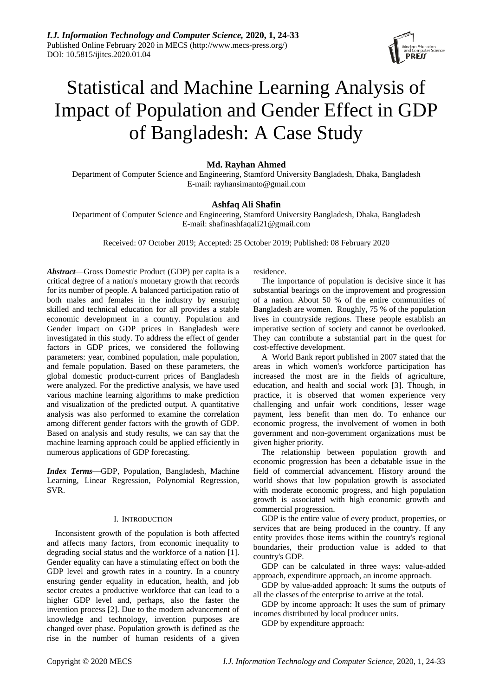# Statistical and Machine Learning Analysis of Impact of Population and Gender Effect in GDP of Bangladesh: A Case Study

## **Md. Rayhan Ahmed**

Department of Computer Science and Engineering, Stamford University Bangladesh, Dhaka, Bangladesh E-mail: rayhansimanto@gmail.com

# **Ashfaq Ali Shafin**

Department of Computer Science and Engineering, Stamford University Bangladesh, Dhaka, Bangladesh E-mail: shafinashfaqali21@gmail.com

Received: 07 October 2019; Accepted: 25 October 2019; Published: 08 February 2020

*Abstract*—Gross Domestic Product (GDP) per capita is a critical degree of a nation's monetary growth that records for its number of people. A balanced participation ratio of both males and females in the industry by ensuring skilled and technical education for all provides a stable economic development in a country. Population and Gender impact on GDP prices in Bangladesh were investigated in this study. To address the effect of gender factors in GDP prices, we considered the following parameters: year, combined population, male population, and female population. Based on these parameters, the global domestic product-current prices of Bangladesh were analyzed. For the predictive analysis, we have used various machine learning algorithms to make prediction and visualization of the predicted output. A quantitative analysis was also performed to examine the correlation among different gender factors with the growth of GDP. Based on analysis and study results, we can say that the machine learning approach could be applied efficiently in numerous applications of GDP forecasting.

*Index Terms*—GDP, Population, Bangladesh, Machine Learning, Linear Regression, Polynomial Regression, SVR.

### I. INTRODUCTION

Inconsistent growth of the population is both affected and affects many factors, from economic inequality to degrading social status and the workforce of a nation [1]. Gender equality can have a stimulating effect on both the GDP level and growth rates in a country. In a country ensuring gender equality in education, health, and job sector creates a productive workforce that can lead to a higher GDP level and, perhaps, also the faster the invention process [2]. Due to the modern advancement of knowledge and technology, invention purposes are changed over phase. Population growth is defined as the rise in the number of human residents of a given residence.

The importance of population is decisive since it has substantial bearings on the improvement and progression of a nation. About 50 % of the entire communities of Bangladesh are women. Roughly, 75 % of the population lives in countryside regions. These people establish an imperative section of society and cannot be overlooked. They can contribute a substantial part in the quest for cost-effective development.

A World Bank report published in 2007 stated that the areas in which women's workforce participation has increased the most are in the fields of agriculture, education, and health and social work [3]. Though, in practice, it is observed that women experience very challenging and unfair work conditions, lesser wage payment, less benefit than men do. To enhance our economic progress, the involvement of women in both government and non-government organizations must be given higher priority.

The relationship between population growth and economic progression has been a debatable issue in the field of commercial advancement. History around the world shows that low population growth is associated with moderate economic progress, and high population growth is associated with high economic growth and commercial progression.

GDP is the entire value of every product, properties, or services that are being produced in the country. If any entity provides those items within the country's regional boundaries, their production value is added to that country's GDP.

GDP can be calculated in three ways: value-added approach, expenditure approach, an income approach.

GDP by value-added approach: It sums the outputs of all the classes of the enterprise to arrive at the total.

GDP by income approach: It uses the sum of primary incomes distributed by local producer units.

GDP by expenditure approach: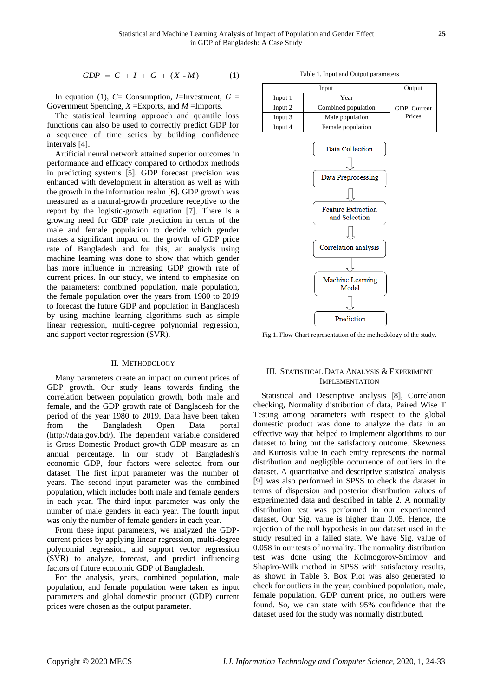$$
GDP = C + I + G + (X - M) \tag{1}
$$

In equation (1),  $C =$  Consumption, *I*=Investment,  $G =$ Government Spending, *X* =Exports, and *M* =Imports.

The statistical learning approach and quantile loss functions can also be used to correctly predict GDP for a sequence of time series by building confidence intervals [4].

Artificial neural network attained superior outcomes in performance and efficacy compared to orthodox methods in predicting systems [5]. GDP forecast precision was enhanced with development in alteration as well as with the growth in the information realm [6]. GDP growth was measured as a natural-growth procedure receptive to the report by the logistic-growth equation [7]. There is a growing need for GDP rate prediction in terms of the male and female population to decide which gender makes a significant impact on the growth of GDP price rate of Bangladesh and for this, an analysis using machine learning was done to show that which gender has more influence in increasing GDP growth rate of current prices. In our study, we intend to emphasize on the parameters: combined population, male population, the female population over the years from 1980 to 2019 to forecast the future GDP and population in Bangladesh by using machine learning algorithms such as simple linear regression, multi-degree polynomial regression, and support vector regression (SVR).

#### II. METHODOLOGY

Many parameters create an impact on current prices of GDP growth. Our study leans towards finding the correlation between population growth, both male and female, and the GDP growth rate of Bangladesh for the period of the year 1980 to 2019. Data have been taken from the Bangladesh Open Data portal [\(http://data.gov.bd/\)](http://data.gov.bd/). The dependent variable considered is Gross Domestic Product growth GDP measure as an annual percentage. In our study of Bangladesh's economic GDP, four factors were selected from our dataset. The first input parameter was the number of years. The second input parameter was the combined population, which includes both male and female genders in each year. The third input parameter was only the number of male genders in each year. The fourth input was only the number of female genders in each year.

From these input parameters, we analyzed the GDPcurrent prices by applying linear regression, multi-degree polynomial regression, and support vector regression (SVR) to analyze, forecast, and predict influencing factors of future economic GDP of Bangladesh.

For the analysis, years, combined population, male population, and female population were taken as input parameters and global domestic product (GDP) current prices were chosen as the output parameter.

Table 1. Input and Output parameters

|         | Input               |              |  |  |
|---------|---------------------|--------------|--|--|
| Input 1 | Year                |              |  |  |
| Input 2 | Combined population | GDP: Current |  |  |
| Input 3 | Male population     | Prices       |  |  |
| Input 4 | Female population   |              |  |  |
|         |                     |              |  |  |
|         | Data Collection     |              |  |  |



Fig.1. Flow Chart representation of the methodology of the study.

### III. STATISTICAL DATA ANALYSIS & EXPERIMENT IMPLEMENTATION

COPY C. C. 2 + 1 (c) + (x, - step<br>
In game to the Computer Science of Computer Science of Computer Science of Computer Science of the Science of the Computer Science of the Science of the Science of the Science of the Sci Statistical and Descriptive analysis [8], Correlation checking, Normality distribution of data, Paired Wise T Testing among parameters with respect to the global domestic product was done to analyze the data in an effective way that helped to implement algorithms to our dataset to bring out the satisfactory outcome. Skewness and Kurtosis value in each entity represents the normal distribution and negligible occurrence of outliers in the dataset. A quantitative and descriptive statistical analysis [9] was also performed in SPSS to check the dataset in terms of dispersion and posterior distribution values of experimented data and described in table 2. A normality distribution test was performed in our experimented dataset, Our Sig. value is higher than 0.05. Hence, the rejection of the null hypothesis in our dataset used in the study resulted in a failed state. We have Sig. value of 0.058 in our tests of normality. The normality distribution test was done using the Kolmogorov-Smirnov and Shapiro-Wilk method in SPSS with satisfactory results, as shown in Table 3. Box Plot was also generated to check for outliers in the year, combined population, male, female population. GDP current price, no outliers were found. So, we can state with 95% confidence that the dataset used for the study was normally distributed.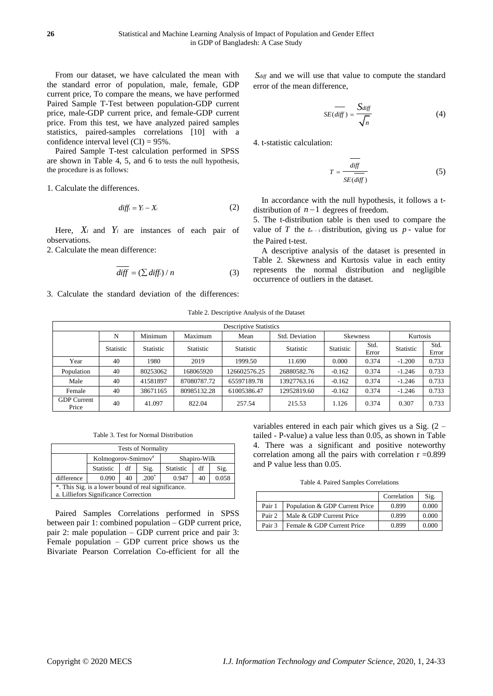From our dataset, we have calculated the mean with the standard error of population, male, female, GDP current price, To compare the means, we have performed Paired Sample T-Test between population-GDP current price, male-GDP current price, and female-GDP current price. From this test, we have analyzed paired samples statistics, paired-samples correlations [10] with a confidence interval level  $(CI) = 95\%$ .

Paired Sample T-test calculation performed in SPSS are shown in Table 4, 5, and 6 to tests the null hypothesis, the procedure is as follows:

1. Calculate the differences.

$$
diff_i = Y_i - X_i \tag{2}
$$

Here,  $X_i$  and  $Y_i$  are instances of each pair of observations.

2. Calculate the mean difference:

$$
\overline{diff} = (\sum diff_i) / n \tag{3}
$$

3. Calculate the standard deviation of the differences:

*Sdiff* and we will use that value to compute the standard error of the mean difference,

$$
SE\left(\frac{1}{\text{diff}}\right) = \frac{S_{\text{diff}}}{\sqrt{n}}\tag{4}
$$

4. t-statistic calculation:

$$
T = \frac{diff}{SE(diff)}
$$
 (5)

In accordance with the null hypothesis, it follows a tdistribution of  $n-1$  degrees of freedom.

5. The t-distribution table is then used to compare the value of T the  $t_{n-1}$  distribution, giving us  $p$  - value for the Paired t-test.

A descriptive analysis of the dataset is presented in Table 2. Skewness and Kurtosis value in each entity represents the normal distribution and negligible occurrence of outliers in the dataset.

#### Table 2. Descriptive Analysis of the Dataset

| <b>Descriptive Statistics</b> |                  |                  |             |                  |                  |                  |                 |                  |               |
|-------------------------------|------------------|------------------|-------------|------------------|------------------|------------------|-----------------|------------------|---------------|
|                               | N                | Minimum          | Maximum     | Mean             | Std. Deviation   |                  | <b>Skewness</b> | Kurtosis         |               |
|                               | <b>Statistic</b> | <b>Statistic</b> | Statistic   | <b>Statistic</b> | <b>Statistic</b> | <b>Statistic</b> | Std.<br>Error   | <b>Statistic</b> | Std.<br>Error |
| Year                          | 40               | 1980             | 2019        | 1999.50          | 11.690           | 0.000            | 0.374           | $-1.200$         | 0.733         |
| Population                    | 40               | 80253062         | 168065920   | 126602576.25     | 26880582.76      | $-0.162$         | 0.374           | $-1.246$         | 0.733         |
| Male                          | 40               | 41581897         | 87080787.72 | 65597189.78      | 13927763.16      | $-0.162$         | 0.374           | $-1.246$         | 0.733         |
| Female                        | 40               | 38671165         | 80985132.28 | 61005386.47      | 12952819.60      | $-0.162$         | 0.374           | $-1.246$         | 0.733         |
| <b>GDP</b> Current<br>Price   | 40               | 41.097           | 822.04      | 257.54           | 215.53           | 1.126            | 0.374           | 0.307            | 0.733         |

Table 3. Test for Normal Distribution

| <b>Tests of Normality</b>                           |                                                           |                                                 |  |  |  |  |  |
|-----------------------------------------------------|-----------------------------------------------------------|-------------------------------------------------|--|--|--|--|--|
|                                                     |                                                           | Kolmogorov-Smirnov <sup>a</sup><br>Shapiro-Wilk |  |  |  |  |  |
|                                                     | Statistic<br><b>Statistic</b><br>Sig.<br>df<br>Sig.<br>df |                                                 |  |  |  |  |  |
| difference                                          | $.200^*$<br>0.058<br>0.947<br>0.090<br>40<br>40           |                                                 |  |  |  |  |  |
| *. This Sig. is a lower bound of real significance. |                                                           |                                                 |  |  |  |  |  |
|                                                     | a. Lilliefors Significance Correction                     |                                                 |  |  |  |  |  |

Paired Samples Correlations performed in SPSS between pair 1: combined population – GDP current price, pair 2: male population – GDP current price and pair 3: Female population – GDP current price shows us the Bivariate Pearson Correlation Co-efficient for all the

variables entered in each pair which gives us a Sig. (2 – tailed - P-value) a value less than 0.05, as shown in Table 4. There was a significant and positive noteworthy correlation among all the pairs with correlation  $r = 0.899$ and P value less than 0.05.

Table 4. Paired Samples Correlations

|        |                                | Correlation | Sig.  |
|--------|--------------------------------|-------------|-------|
| Pair 1 | Population & GDP Current Price | 0.899       | 0.000 |
| Pair 2 | Male & GDP Current Price       | 0.899       | 0.000 |
| Pair 3 | Female & GDP Current Price     | 0.899       | 0.000 |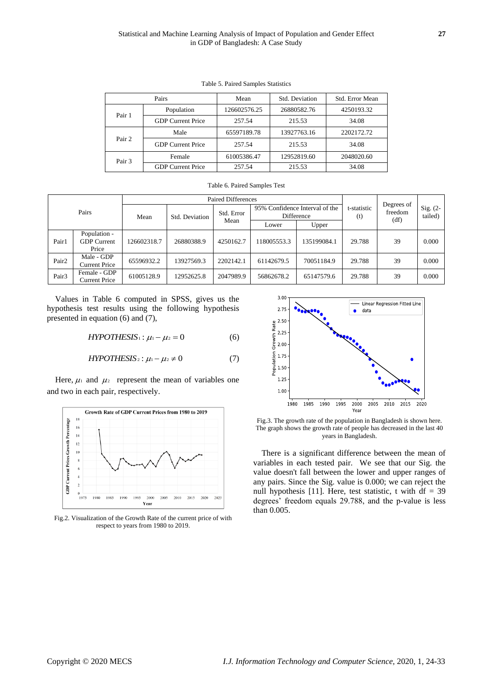| Pairs  |                          | Mean         | Std. Deviation | Std. Error Mean |
|--------|--------------------------|--------------|----------------|-----------------|
| Pair 1 | Population               | 126602576.25 | 26880582.76    | 4250193.32      |
|        | <b>GDP Current Price</b> | 257.54       | 215.53         | 34.08           |
| Pair 2 | Male                     | 65597189.78  | 13927763.16    | 2202172.72      |
|        | <b>GDP</b> Current Price | 257.54       | 215.53         | 34.08           |
| Pair 3 | Female                   | 61005386.47  | 12952819.60    | 2048020.60      |
|        | <b>GDP</b> Current Price | 257.54       | 215.53         | 34.08           |

Table 5. Paired Samples Statistics

| Table 6. Paired Samples Test |                                             |                           |            |            |                                              |             |                    |                               |                       |
|------------------------------|---------------------------------------------|---------------------------|------------|------------|----------------------------------------------|-------------|--------------------|-------------------------------|-----------------------|
|                              |                                             | <b>Paired Differences</b> |            |            |                                              |             |                    |                               |                       |
| Pairs                        |                                             | Std. Deviation<br>Mean    |            | Std. Error | 95% Confidence Interval of the<br>Difference |             | t-statistic<br>(t) | Degrees of<br>freedom<br>(df) | $Sig. (2-$<br>tailed) |
|                              |                                             |                           |            | Mean       | Lower                                        | Upper       |                    |                               |                       |
| Pair1                        | Population -<br><b>GDP</b> Current<br>Price | 126602318.7               | 26880388.9 | 4250162.7  | 118005553.3                                  | 135199084.1 | 29.788             | 39                            | 0.000                 |
| Pair <sub>2</sub>            | Male - GDP<br><b>Current Price</b>          | 65596932.2                | 13927569.3 | 2202142.1  | 61142679.5                                   | 70051184.9  | 29.788             | 39                            | 0.000                 |
| Pair <sub>3</sub>            | Female - GDP<br><b>Current Price</b>        | 61005128.9                | 12952625.8 | 2047989.9  | 56862678.2                                   | 65147579.6  | 29.788             | 39                            | 0.000                 |

Values in Table 6 computed in SPSS, gives us the hypothesis test results using the following hypothesis presented in equation (6) and (7),

$$
HYPOTHESIS_1: \mu_1 - \mu_2 = 0 \tag{6}
$$

$$
HYPOTHESIS_2: \mu_1 - \mu_2 \neq 0 \tag{7}
$$

Here,  $\mu_1$  and  $\mu_2$  represent the mean of variables one and two in each pair, respectively.



Fig.2. Visualization of the Growth Rate of the current price of with respect to years from 1980 to 2019.



Fig.3. The growth rate of the population in Bangladesh is shown here. The graph shows the growth rate of people has decreased in the last 40 years in Bangladesh.

There is a significant difference between the mean of variables in each tested pair. We see that our Sig. the value doesn't fall between the lower and upper ranges of any pairs. Since the Sig. value is 0.000; we can reject the null hypothesis [11]. Here, test statistic, t with  $df = 39$ degrees' freedom equals 29.788, and the p-value is less than 0.005.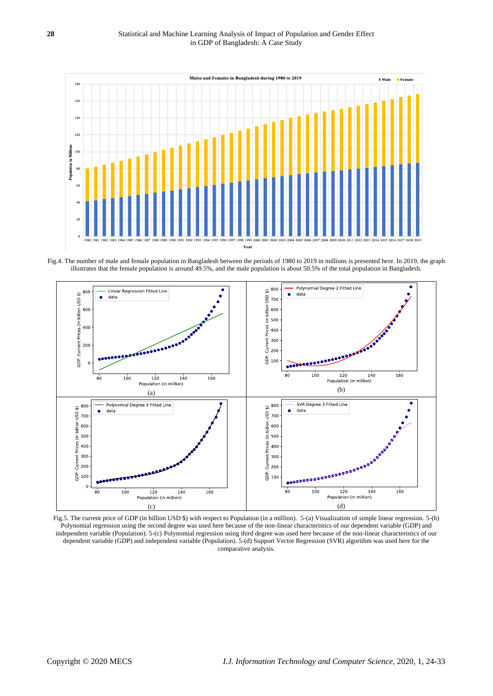

Fig.4. The number of male and female population in Bangladesh between the periods of 1980 to 2019 in millions is presented here. In 2019, the graph illustrates that the female population is around 49.5%, and the male population is about 50.5% of the total population in Bangladesh.

![](_page_4_Figure_3.jpeg)

Fig.5. The current price of GDP (in billion USD \$) with respect to Population (in a million). 5-(a) Visualization of simple linear regression. 5-(b) Polynomial regression using the second degree was used here because of the non-linear characteristics of our dependent variable (GDP) and independent variable (Population). 5-(c) Polynomial regression using third degree was used here because of the non-linear characteristics of our dependent variable (GDP) and independent variable (Population). 5-(d) Support Vector Regression (SVR) algorithm was used here for the comparative analysis.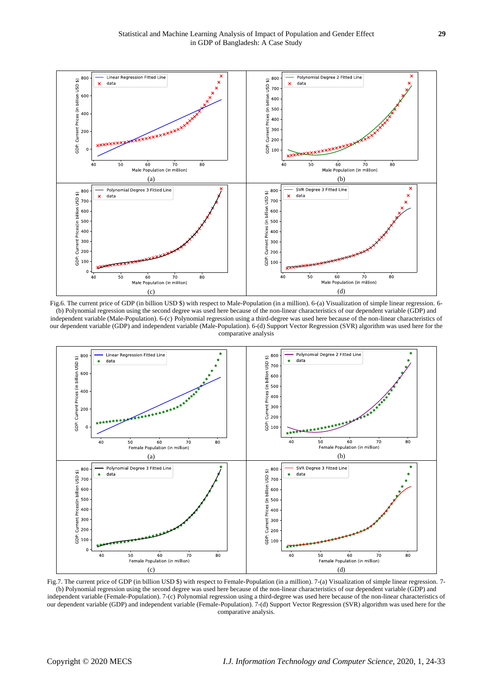![](_page_5_Figure_1.jpeg)

Fig.6. The current price of GDP (in billion USD \$) with respect to Male-Population (in a million). 6-(a) Visualization of simple linear regression. 6-(b) Polynomial regression using the second degree was used here because of the non-linear characteristics of our dependent variable (GDP) and independent variable (Male-Population). 6-(c) Polynomial regression using a third-degree was used here because of the non-linear characteristics of our dependent variable (GDP) and independent variable (Male-Population). 6-(d) Support Vector Regression (SVR) algorithm was used here for the comparative analysis

![](_page_5_Figure_3.jpeg)

Fig.7. The current price of GDP (in billion USD \$) with respect to Female-Population (in a million). 7-(a) Visualization of simple linear regression. 7- (b) Polynomial regression using the second degree was used here because of the non-linear characteristics of our dependent variable (GDP) and independent variable (Female-Population). 7-(c) Polynomial regression using a third-degree was used here because of the non-linear characteristics of our dependent variable (GDP) and independent variable (Female-Population). 7-(d) Support Vector Regression (SVR) algorithm was used here for the comparative analysis.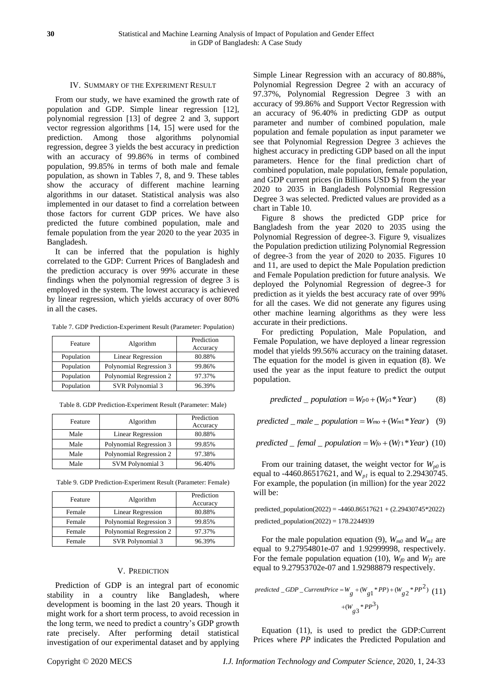#### IV. SUMMARY OF THE EXPERIMENT RESULT

From our study, we have examined the growth rate of population and GDP. Simple linear regression [12], polynomial regression [13] of degree 2 and 3, support vector regression algorithms [14, 15] were used for the prediction. Among those algorithms polynomial regression, degree 3 yields the best accuracy in prediction with an accuracy of 99.86% in terms of combined population, 99.85% in terms of both male and female population, as shown in Tables 7, 8, and 9. These tables show the accuracy of different machine learning algorithms in our dataset. Statistical analysis was also implemented in our dataset to find a correlation between those factors for current GDP prices. We have also predicted the future combined population, male and female population from the year 2020 to the year 2035 in Bangladesh.

It can be inferred that the population is highly correlated to the GDP: Current Prices of Bangladesh and the prediction accuracy is over 99% accurate in these findings when the polynomial regression of degree 3 is employed in the system. The lowest accuracy is achieved by linear regression, which yields accuracy of over 80% in all the cases.

Table 7. GDP Prediction-Experiment Result (Parameter: Population)

| Feature    | Algorithm               | Prediction |
|------------|-------------------------|------------|
|            |                         | Accuracy   |
| Population | Linear Regression       | 80.88%     |
| Population | Polynomial Regression 3 | 99.86%     |
| Population | Polynomial Regression 2 | 97.37%     |
| Population | SVR Polynomial 3        | 96.39%     |

Table 8. GDP Prediction-Experiment Result (Parameter: Male)

| Feature | Algorithm                | Prediction<br>Accuracy |
|---------|--------------------------|------------------------|
| Male    | <b>Linear Regression</b> | 80.88%                 |
| Male    | Polynomial Regression 3  | 99.85%                 |
| Male    | Polynomial Regression 2  | 97.38%                 |
| Male    | <b>SVM Polynomial 3</b>  | 96.40%                 |

Table 9. GDP Prediction-Experiment Result (Parameter: Female)

| Feature | Algorithm                | Prediction<br>Accuracy |
|---------|--------------------------|------------------------|
| Female  | <b>Linear Regression</b> | 80.88%                 |
| Female  | Polynomial Regression 3  | 99.85%                 |
| Female  | Polynomial Regression 2  | 97.37%                 |
| Female  | SVR Polynomial 3         | 96.39%                 |

#### V. PREDICTION

Prediction of GDP is an integral part of economic stability in a country like Bangladesh, where development is booming in the last 20 years. Though it might work for a short term process, to avoid recession in the long term, we need to predict a country's GDP growth rate precisely. After performing detail statistical investigation of our experimental dataset and by applying

Simple Linear Regression with an accuracy of 80.88%, Polynomial Regression Degree 2 with an accuracy of 97.37%, Polynomial Regression Degree 3 with an accuracy of 99.86% and Support Vector Regression with an accuracy of 96.40% in predicting GDP as output parameter and number of combined population, male population and female population as input parameter we see that Polynomial Regression Degree 3 achieves the highest accuracy in predicting GDP based on all the input parameters. Hence for the final prediction chart of combined population, male population, female population, and GDP current prices (in Billions USD \$) from the year 2020 to 2035 in Bangladesh Polynomial Regression Degree 3 was selected. Predicted values are provided as a chart in Table 10.

Figure 8 shows the predicted GDP price for Bangladesh from the year 2020 to 2035 using the Polynomial Regression of degree-3. Figure 9, visualizes the Population prediction utilizing Polynomial Regression of degree-3 from the year of 2020 to 2035. Figures 10 and 11, are used to depict the Male Population prediction and Female Population prediction for future analysis. We deployed the Polynomial Regression of degree-3 for prediction as it yields the best accuracy rate of over 99% for all the cases. We did not generate any figures using other machine learning algorithms as they were less accurate in their predictions.

For predicting Population, Male Population, and Female Population, we have deployed a linear regression model that yields 99.56% accuracy on the training dataset. The equation for the model is given in equation (8). We used the year as the input feature to predict the output population.

$$
predicted \t_{\text{p}} population = W_{p0} + (W_{p1} * Year) \tag{8}
$$

 $predicted$   $_male$  *population* =  $W_{mo}$  +  $(W_{ml}$ <sup>\*</sup> *Year*  $)$  (9)

*predicted \_ femal \_ population =*  $W_{f0} + (W_{f1} * Year)$  (10)

From our training dataset, the weight vector for  $W_{p0}$  is equal to -4460.86517621, and W*p1* is equal to 2.29430745. For example, the population (in million) for the year 2022 will be:

predicted\_population(2022) = -4460.86517621 + (2.29430745\*2022) predicted\_population(2022) = 178.2244939

For the male population equation (9),  $W_{m0}$  and  $W_{m1}$  are equal to 9.27954801e-07 and 1.92999998, respectively. For the female population equation (10),  $W_{f0}$  and  $W_{f1}$  are equal to 9.27953702e-07 and 1.92988879 respectively.

$$
predicted\_GDP\_CurrentPrice = W_g + (W_{g1} * PP) + (W_{g2} * PP^2) (11)
$$

$$
+ (W_{g3} * PP^3)
$$

Equation (11), is used to predict the GDP:Current Prices where *PP* indicates the Predicted Population and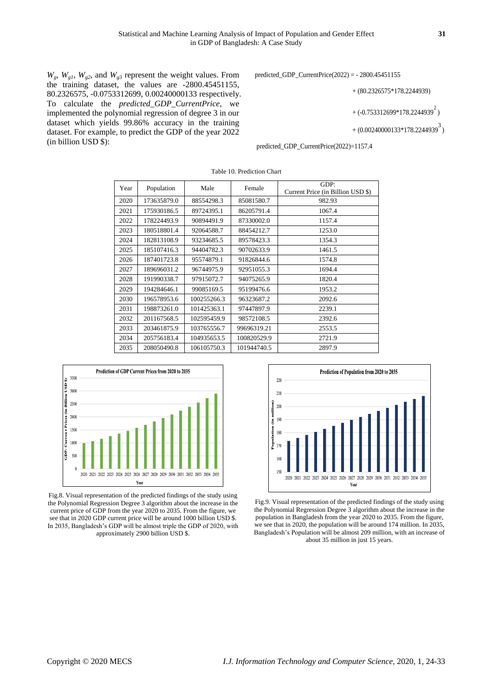$W_g$ ,  $W_{g1}$ ,  $W_{g2}$ , and  $W_{g3}$  represent the weight values. From the training dataset, the values are -2800.45451155, 80.2326575, -0.0753312699, 0.00240000133 respectively. To calculate the *predicted\_GDP\_CurrentPrice,* we implemented the polynomial regression of degree 3 in our dataset which yields 99.86% accuracy in the training dataset. For example, to predict the GDP of the year 2022 (in billion USD \$):

predicted\_GDP\_CurrentPrice(2022) = - 2800.45451155

```
2
+ (80.2326575*178.2244939)
+ (-0.753312699*178.2244939<sup>2</sup>)
```
3 + (0.00240000133\*178.2244939<sup>3</sup>)

predicted\_GDP\_CurrentPrice(2022)=1157.4

| Year | Population  | Male        | Female      | GDP:                              |
|------|-------------|-------------|-------------|-----------------------------------|
|      |             |             |             | Current Price (in Billion USD \$) |
| 2020 | 173635879.0 | 88554298.3  | 85081580.7  | 982.93                            |
| 2021 | 175930186.5 | 89724395.1  | 86205791.4  | 1067.4                            |
| 2022 | 178224493.9 | 90894491.9  | 87330002.0  | 1157.4                            |
| 2023 | 180518801.4 | 92064588.7  | 88454212.7  | 1253.0                            |
| 2024 | 182813108.9 | 93234685.5  | 89578423.3  | 1354.3                            |
| 2025 | 185107416.3 | 94404782.3  | 90702633.9  | 1461.5                            |
| 2026 | 187401723.8 | 95574879.1  | 91826844.6  | 1574.8                            |
| 2027 | 189696031.2 | 96744975.9  | 92951055.3  | 1694.4                            |
| 2028 | 191990338.7 | 97915072.7  | 94075265.9  | 1820.4                            |
| 2029 | 194284646.1 | 99085169.5  | 95199476.6  | 1953.2                            |
| 2030 | 196578953.6 | 100255266.3 | 96323687.2  | 2092.6                            |
| 2031 | 198873261.0 | 101425363.1 | 97447897.9  | 2239.1                            |
| 2032 | 201167568.5 | 102595459.9 | 98572108.5  | 2392.6                            |
| 2033 | 203461875.9 | 103765556.7 | 99696319.21 | 2553.5                            |
| 2034 | 205756183.4 | 104935653.5 | 100820529.9 | 2721.9                            |
| 2035 | 208050490.8 | 106105750.3 | 101944740.5 | 2897.9                            |

Table 10. Prediction Chart

![](_page_7_Figure_8.jpeg)

Fig.8. Visual representation of the predicted findings of the study using the Polynomial Regression Degree 3 algorithm about the increase in the current price of GDP from the year 2020 to 2035. From the figure, we see that in 2020 GDP current price will be around 1000 billion USD \$. In 2035, Bangladesh's GDP will be almost triple the GDP of 2020, with approximately 2900 billion USD \$.

![](_page_7_Figure_10.jpeg)

Fig.9. Visual representation of the predicted findings of the study using the Polynomial Regression Degree 3 algorithm about the increase in the population in Bangladesh from the year 2020 to 2035. From the figure, we see that in 2020, the population will be around 174 million. In 2035, Bangladesh's Population will be almost 209 million, with an increase of about 35 million in just 15 years.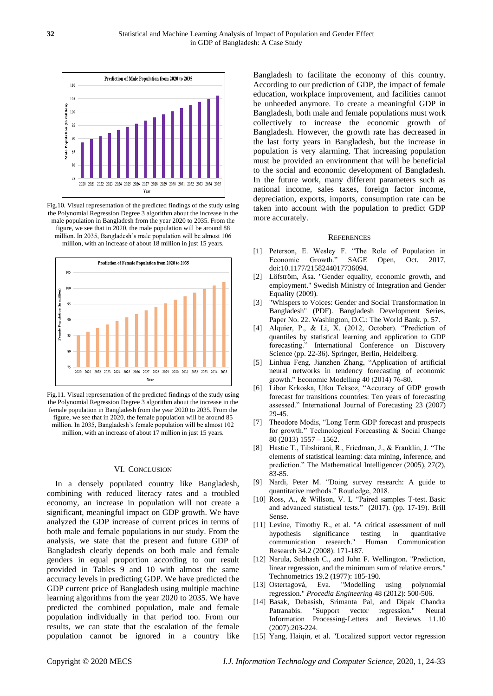![](_page_8_Figure_1.jpeg)

Fig.10. Visual representation of the predicted findings of the study using the Polynomial Regression Degree 3 algorithm about the increase in the male population in Bangladesh from the year 2020 to 2035. From the figure, we see that in 2020, the male population will be around 88 million. In 2035, Bangladesh's male population will be almost 106 million, with an increase of about 18 million in just 15 years.

![](_page_8_Figure_3.jpeg)

Fig.11. Visual representation of the predicted findings of the study using the Polynomial Regression Degree 3 algorithm about the increase in the female population in Bangladesh from the year 2020 to 2035. From the figure, we see that in 2020, the female population will be around 85 million. In 2035, Bangladesh's female population will be almost 102 million, with an increase of about 17 million in just 15 years.

#### VI. CONCLUSION

In a densely populated country like Bangladesh, combining with reduced literacy rates and a troubled economy, an increase in population will not create a significant, meaningful impact on GDP growth. We have analyzed the GDP increase of current prices in terms of both male and female populations in our study. From the analysis, we state that the present and future GDP of Bangladesh clearly depends on both male and female genders in equal proportion according to our result provided in Tables 9 and 10 with almost the same accuracy levels in predicting GDP. We have predicted the GDP current price of Bangladesh using multiple machine learning algorithms from the year 2020 to 2035. We have predicted the combined population, male and female population individually in that period too. From our results, we can state that the escalation of the female population cannot be ignored in a country like

Bangladesh to facilitate the economy of this country. According to our prediction of GDP, the impact of female education, workplace improvement, and facilities cannot be unheeded anymore. To create a meaningful GDP in Bangladesh, both male and female populations must work collectively to increase the economic growth of Bangladesh. However, the growth rate has decreased in the last forty years in Bangladesh, but the increase in population is very alarming. That increasing population must be provided an environment that will be beneficial to the social and economic development of Bangladesh. In the future work, many different parameters such as national income, sales taxes, foreign factor income, depreciation, exports, imports, consumption rate can be taken into account with the population to predict GDP more accurately.

#### **REFERENCES**

- [1] Peterson, E. Wesley F. "The Role of Population in Economic Growth." SAGE Open, Oct. 2017, doi[:10.1177/2158244017736094.](https://doi.org/10.1177/2158244017736094)
- [2] Löfström, Åsa. "Gender equality, economic growth, and employment." Swedish Ministry of Integration and Gender Equality (2009).
- [3] ["Whispers to Voices: Gender and Social Transformation in](http://www-wds.worldbank.org/external/default/WDSContentServer/WDSP/IB/2008/03/25/000334955_20080325105524/Rendered/PDF/430450NWP0BD0gender0Box0327344B01PUBLIC1.pdf)  [Bangladesh"](http://www-wds.worldbank.org/external/default/WDSContentServer/WDSP/IB/2008/03/25/000334955_20080325105524/Rendered/PDF/430450NWP0BD0gender0Box0327344B01PUBLIC1.pdf) (PDF). Bangladesh Development Series, Paper No. 22. Washington, D.C.: The World Bank. p. 57.
- [4] Alquier, P., & Li, X. (2012, October). "Prediction of quantiles by statistical learning and application to GDP forecasting." International Conference on Discovery Science (pp. 22-36). Springer, Berlin, Heidelberg.
- [5] Linhua Feng, Jianzhen Zhang, "Application of artificial neural networks in tendency forecasting of economic growth." Economic Modelling 40 (2014) 76-80.
- [6] Libor Krkoska, Utku Teksoz, "Accuracy of GDP growth forecast for transitions countries: Ten years of forecasting assessed." International Journal of Forecasting 23 (2007) 29-45.
- [7] Theodore Modis, "Long Term GDP forecast and prospects for growth." Technological Forecasting & Social Change 80 (2013) 1557 – 1562.
- [8] Hastie T., Tibshirani, R., Friedman, J., & Franklin, J. "The elements of statistical learning: data mining, inference, and prediction." The Mathematical Intelligencer (2005), 27(2), 83-85.
- [9] Nardi, Peter M. "Doing survey research: A guide to quantitative methods." Routledge, 2018.
- [10] Ross, A., & Willson, V. L "Paired samples T-test. Basic and advanced statistical tests." (2017). (pp. 17-19). Brill Sense.
- [11] Levine, Timothy R., et al. "A critical assessment of null hypothesis significance testing in quantitative communication research." Human Communication communication research." Human Communication Research 34.2 (2008): 171-187.
- [12] Narula, Subhash C., and John F. Wellington. "Prediction, linear regression, and the minimum sum of relative errors." Technometrics 19.2 (1977): 185-190.
- [13] Ostertagová, Eva. "Modelling using polynomial regression." *Procedia Engineering* 48 (2012): 500-506.
- [14] Basak, Debasish, Srimanta Pal, and Dipak Chandra Patranabis. "Support vector regression." Neural Information Processing-Letters and Reviews 11.10 (2007):203-224.
- [15] Yang, Haiqin, et al. "Localized support vector regression